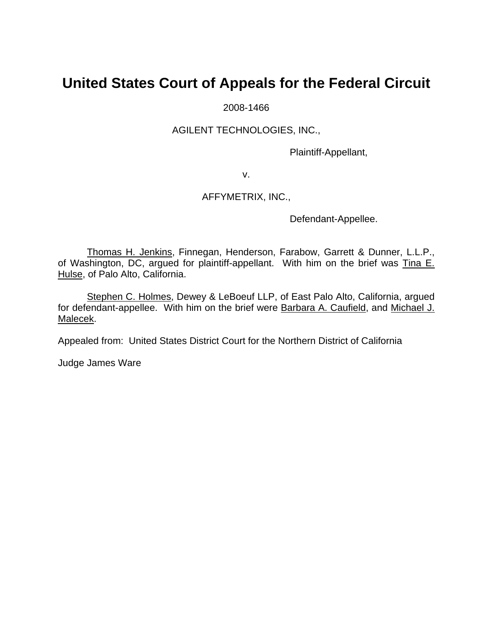## **United States Court of Appeals for the Federal Circuit**

2008-1466

## AGILENT TECHNOLOGIES, INC.,

Plaintiff-Appellant,

v.

## AFFYMETRIX, INC.,

Defendant-Appellee.

Thomas H. Jenkins, Finnegan, Henderson, Farabow, Garrett & Dunner, L.L.P., of Washington, DC, argued for plaintiff-appellant. With him on the brief was Tina E. Hulse, of Palo Alto, California.

Stephen C. Holmes, Dewey & LeBoeuf LLP, of East Palo Alto, California, argued for defendant-appellee. With him on the brief were Barbara A. Caufield, and Michael J. Malecek.

Appealed from: United States District Court for the Northern District of California

Judge James Ware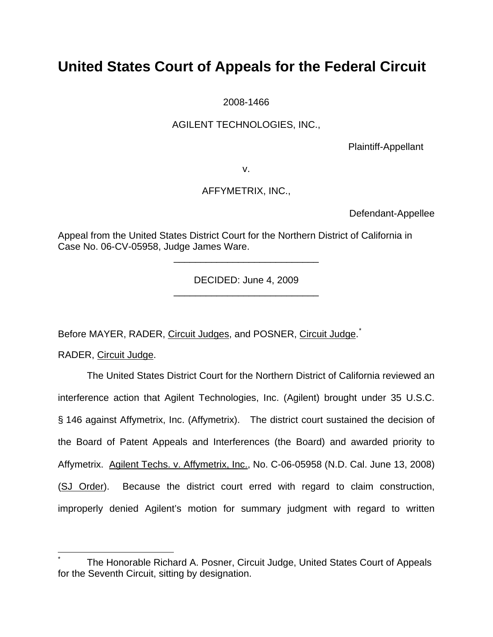# **United States Court of Appeals for the Federal Circuit**

2008-1466

## AGILENT TECHNOLOGIES, INC.,

Plaintiff-Appellant

v.

## AFFYMETRIX, INC.,

Defendant-Appellee

Appeal from the United States District Court for the Northern District of California in Case No. 06-CV-05958, Judge James Ware.

> DECIDED: June 4, 2009 \_\_\_\_\_\_\_\_\_\_\_\_\_\_\_\_\_\_\_\_\_\_\_\_\_\_\_

> \_\_\_\_\_\_\_\_\_\_\_\_\_\_\_\_\_\_\_\_\_\_\_\_\_\_\_

Before MAYER, RADER, Circuit Judges, and POSNER, Circuit Judge.<sup>[\\*](#page-1-0)</sup>

RADER, Circuit Judge.

 $\overline{a}$ 

 The United States District Court for the Northern District of California reviewed an interference action that Agilent Technologies, Inc. (Agilent) brought under 35 U.S.C. § 146 against Affymetrix, Inc. (Affymetrix). The district court sustained the decision of the Board of Patent Appeals and Interferences (the Board) and awarded priority to Affymetrix. Agilent Techs. v. Affymetrix, Inc., No. C-06-05958 (N.D. Cal. June 13, 2008) (SJ Order). Because the district court erred with regard to claim construction, improperly denied Agilent's motion for summary judgment with regard to written

<span id="page-1-0"></span><sup>\*</sup> The Honorable Richard A. Posner, Circuit Judge, United States Court of Appeals for the Seventh Circuit, sitting by designation.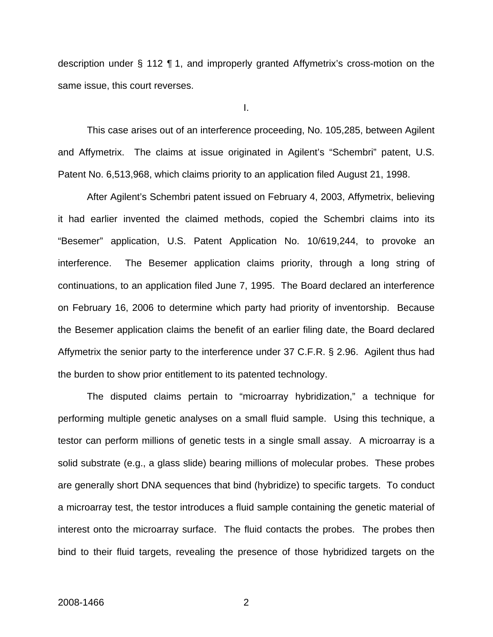description under § 112 ¶ 1, and improperly granted Affymetrix's cross-motion on the same issue, this court reverses.

I.

 This case arises out of an interference proceeding, No. 105,285, between Agilent and Affymetrix. The claims at issue originated in Agilent's "Schembri" patent, U.S. Patent No. 6,513,968, which claims priority to an application filed August 21, 1998.

After Agilent's Schembri patent issued on February 4, 2003, Affymetrix, believing it had earlier invented the claimed methods, copied the Schembri claims into its "Besemer" application, U.S. Patent Application No. 10/619,244, to provoke an interference. The Besemer application claims priority, through a long string of continuations, to an application filed June 7, 1995. The Board declared an interference on February 16, 2006 to determine which party had priority of inventorship. Because the Besemer application claims the benefit of an earlier filing date, the Board declared Affymetrix the senior party to the interference under 37 C.F.R. § 2.96. Agilent thus had the burden to show prior entitlement to its patented technology.

 The disputed claims pertain to "microarray hybridization," a technique for performing multiple genetic analyses on a small fluid sample. Using this technique, a testor can perform millions of genetic tests in a single small assay. A microarray is a solid substrate (e.g., a glass slide) bearing millions of molecular probes. These probes are generally short DNA sequences that bind (hybridize) to specific targets. To conduct a microarray test, the testor introduces a fluid sample containing the genetic material of interest onto the microarray surface. The fluid contacts the probes. The probes then bind to their fluid targets, revealing the presence of those hybridized targets on the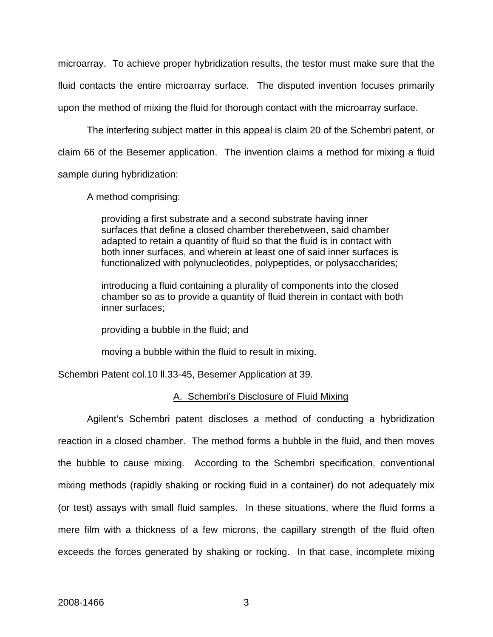microarray. To achieve proper hybridization results, the testor must make sure that the fluid contacts the entire microarray surface. The disputed invention focuses primarily upon the method of mixing the fluid for thorough contact with the microarray surface.

The interfering subject matter in this appeal is claim 20 of the Schembri patent, or claim 66 of the Besemer application. The invention claims a method for mixing a fluid sample during hybridization:

A method comprising:

providing a first substrate and a second substrate having inner surfaces that define a closed chamber therebetween, said chamber adapted to retain a quantity of fluid so that the fluid is in contact with both inner surfaces, and wherein at least one of said inner surfaces is functionalized with polynucleotides, polypeptides, or polysaccharides;

introducing a fluid containing a plurality of components into the closed chamber so as to provide a quantity of fluid therein in contact with both inner surfaces;

providing a bubble in the fluid; and

moving a bubble within the fluid to result in mixing.

Schembri Patent col.10 ll.33-45, Besemer Application at 39.

## A. Schembri's Disclosure of Fluid Mixing

Agilent's Schembri patent discloses a method of conducting a hybridization reaction in a closed chamber. The method forms a bubble in the fluid, and then moves the bubble to cause mixing. According to the Schembri specification, conventional mixing methods (rapidly shaking or rocking fluid in a container) do not adequately mix (or test) assays with small fluid samples. In these situations, where the fluid forms a mere film with a thickness of a few microns, the capillary strength of the fluid often exceeds the forces generated by shaking or rocking. In that case, incomplete mixing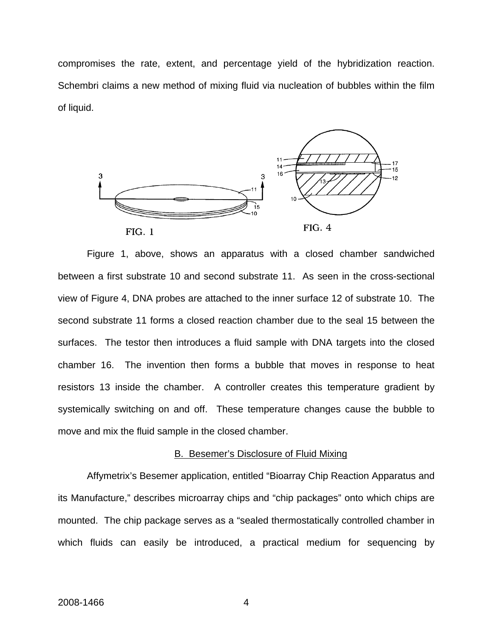compromises the rate, extent, and percentage yield of the hybridization reaction. Schembri claims a new method of mixing fluid via nucleation of bubbles within the film of liquid.



Figure 1, above, shows an apparatus with a closed chamber sandwiched between a first substrate 10 and second substrate 11. As seen in the cross-sectional view of Figure 4, DNA probes are attached to the inner surface 12 of substrate 10. The second substrate 11 forms a closed reaction chamber due to the seal 15 between the surfaces. The testor then introduces a fluid sample with DNA targets into the closed chamber 16. The invention then forms a bubble that moves in response to heat resistors 13 inside the chamber. A controller creates this temperature gradient by systemically switching on and off. These temperature changes cause the bubble to move and mix the fluid sample in the closed chamber.

#### B. Besemer's Disclosure of Fluid Mixing

Affymetrix's Besemer application, entitled "Bioarray Chip Reaction Apparatus and its Manufacture," describes microarray chips and "chip packages" onto which chips are mounted. The chip package serves as a "sealed thermostatically controlled chamber in which fluids can easily be introduced, a practical medium for sequencing by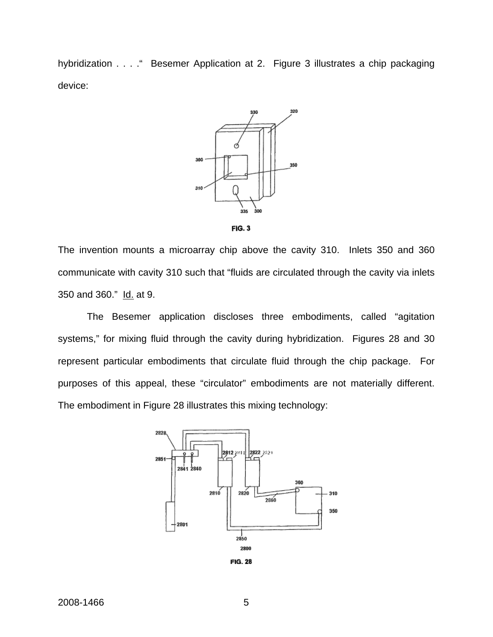hybridization . . . . " Besemer Application at 2. Figure 3 illustrates a chip packaging device:





The invention mounts a microarray chip above the cavity 310. Inlets 350 and 360 communicate with cavity 310 such that "fluids are circulated through the cavity via inlets 350 and 360." Id. at 9.

The Besemer application discloses three embodiments, called "agitation systems," for mixing fluid through the cavity during hybridization. Figures 28 and 30 represent particular embodiments that circulate fluid through the chip package. For purposes of this appeal, these "circulator" embodiments are not materially different. The embodiment in Figure 28 illustrates this mixing technology:

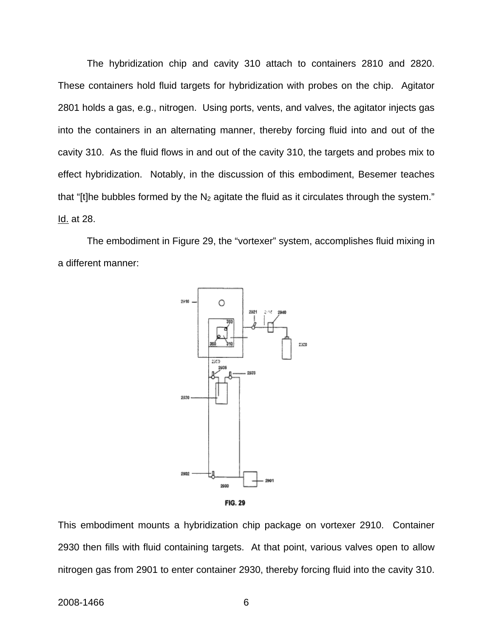The hybridization chip and cavity 310 attach to containers 2810 and 2820. These containers hold fluid targets for hybridization with probes on the chip. Agitator 2801 holds a gas, e.g., nitrogen. Using ports, vents, and valves, the agitator injects gas into the containers in an alternating manner, thereby forcing fluid into and out of the cavity 310. As the fluid flows in and out of the cavity 310, the targets and probes mix to effect hybridization. Notably, in the discussion of this embodiment, Besemer teaches that "[t]he bubbles formed by the  $N_2$  agitate the fluid as it circulates through the system." Id. at 28.

 The embodiment in Figure 29, the "vortexer" system, accomplishes fluid mixing in a different manner:



**FIG. 29** 

This embodiment mounts a hybridization chip package on vortexer 2910. Container 2930 then fills with fluid containing targets. At that point, various valves open to allow nitrogen gas from 2901 to enter container 2930, thereby forcing fluid into the cavity 310.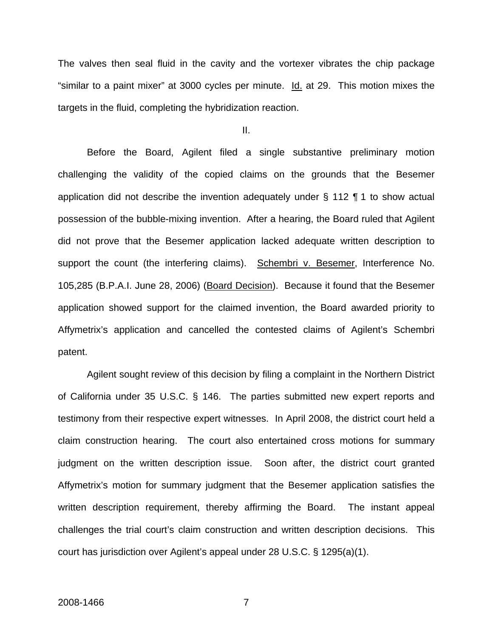The valves then seal fluid in the cavity and the vortexer vibrates the chip package "similar to a paint mixer" at 3000 cycles per minute. Id. at 29. This motion mixes the targets in the fluid, completing the hybridization reaction.

II.

 Before the Board, Agilent filed a single substantive preliminary motion challenging the validity of the copied claims on the grounds that the Besemer application did not describe the invention adequately under § 112 ¶ 1 to show actual possession of the bubble-mixing invention. After a hearing, the Board ruled that Agilent did not prove that the Besemer application lacked adequate written description to support the count (the interfering claims). Schembri v. Besemer, Interference No. 105,285 (B.P.A.I. June 28, 2006) (Board Decision). Because it found that the Besemer application showed support for the claimed invention, the Board awarded priority to Affymetrix's application and cancelled the contested claims of Agilent's Schembri patent.

Agilent sought review of this decision by filing a complaint in the Northern District of California under 35 U.S.C. § 146. The parties submitted new expert reports and testimony from their respective expert witnesses. In April 2008, the district court held a claim construction hearing. The court also entertained cross motions for summary judgment on the written description issue. Soon after, the district court granted Affymetrix's motion for summary judgment that the Besemer application satisfies the written description requirement, thereby affirming the Board. The instant appeal challenges the trial court's claim construction and written description decisions. This court has jurisdiction over Agilent's appeal under 28 U.S.C. § 1295(a)(1).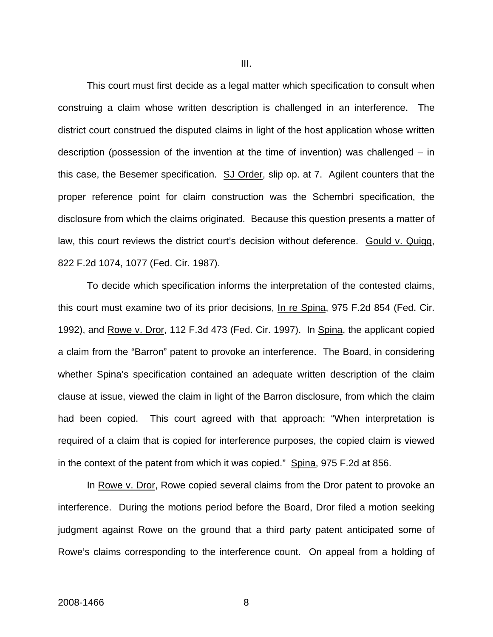This court must first decide as a legal matter which specification to consult when construing a claim whose written description is challenged in an interference. The district court construed the disputed claims in light of the host application whose written description (possession of the invention at the time of invention) was challenged – in this case, the Besemer specification. SJ Order, slip op. at 7. Agilent counters that the proper reference point for claim construction was the Schembri specification, the disclosure from which the claims originated. Because this question presents a matter of law, this court reviews the district court's decision without deference. Gould v. Quigg, 822 F.2d 1074, 1077 (Fed. Cir. 1987).

To decide which specification informs the interpretation of the contested claims, this court must examine two of its prior decisions, In re Spina, 975 F.2d 854 (Fed. Cir. 1992), and Rowe v. Dror, 112 F.3d 473 (Fed. Cir. 1997). In Spina, the applicant copied a claim from the "Barron" patent to provoke an interference. The Board, in considering whether Spina's specification contained an adequate written description of the claim clause at issue, viewed the claim in light of the Barron disclosure, from which the claim had been copied. This court agreed with that approach: "When interpretation is required of a claim that is copied for interference purposes, the copied claim is viewed in the context of the patent from which it was copied." Spina, 975 F.2d at 856.

In Rowe v. Dror, Rowe copied several claims from the Dror patent to provoke an interference. During the motions period before the Board, Dror filed a motion seeking judgment against Rowe on the ground that a third party patent anticipated some of Rowe's claims corresponding to the interference count. On appeal from a holding of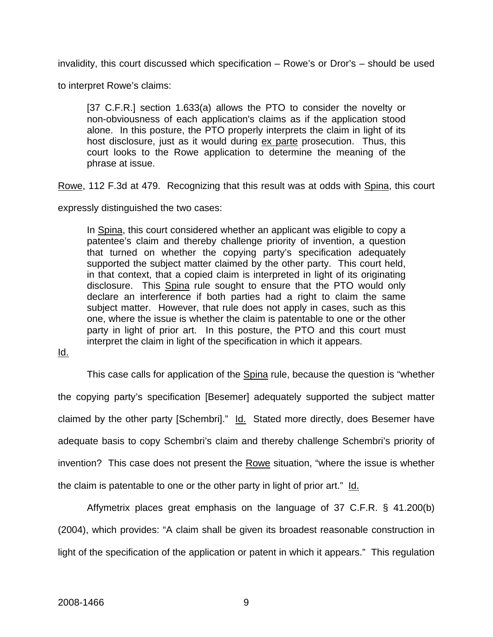invalidity, this court discussed which specification – Rowe's or Dror's – should be used

to interpret Rowe's claims:

[37 C.F.R.] section 1.633(a) allows the PTO to consider the novelty or non-obviousness of each application's claims as if the application stood alone. In this posture, the PTO properly interprets the claim in light of its host disclosure, just as it would during ex parte prosecution. Thus, this court looks to the Rowe application to determine the meaning of the phrase at issue.

Rowe, 112 F.3d at 479. Recognizing that this result was at odds with Spina, this court

expressly distinguished the two cases:

In Spina, this court considered whether an applicant was eligible to copy a patentee's claim and thereby challenge priority of invention, a question that turned on whether the copying party's specification adequately supported the subject matter claimed by the other party. This court held, in that context, that a copied claim is interpreted in light of its originating disclosure. This Spina rule sought to ensure that the PTO would only declare an interference if both parties had a right to claim the same subject matter. However, that rule does not apply in cases, such as this one, where the issue is whether the claim is patentable to one or the other party in light of prior art. In this posture, the PTO and this court must interpret the claim in light of the specification in which it appears.

Id.

This case calls for application of the Spina rule, because the question is "whether the copying party's specification [Besemer] adequately supported the subject matter claimed by the other party [Schembri]." Id. Stated more directly, does Besemer have adequate basis to copy Schembri's claim and thereby challenge Schembri's priority of invention? This case does not present the Rowe situation, "where the issue is whether the claim is patentable to one or the other party in light of prior art." Id.

Affymetrix places great emphasis on the language of 37 C.F.R. § 41.200(b) (2004), which provides: "A claim shall be given its broadest reasonable construction in light of the specification of the application or patent in which it appears." This regulation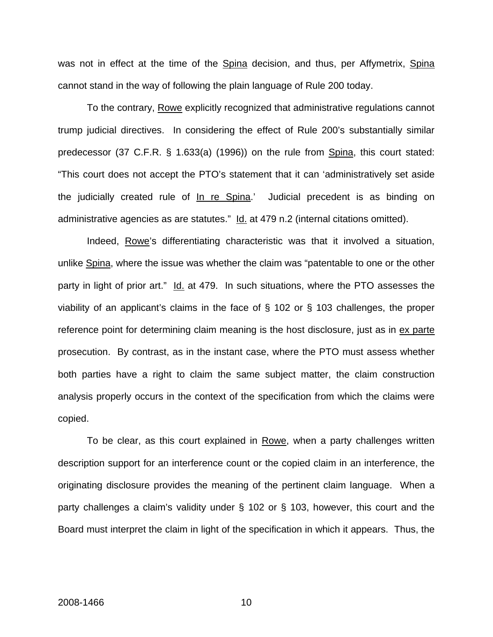was not in effect at the time of the Spina decision, and thus, per Affymetrix, Spina cannot stand in the way of following the plain language of Rule 200 today.

To the contrary, Rowe explicitly recognized that administrative regulations cannot trump judicial directives. In considering the effect of Rule 200's substantially similar predecessor (37 C.F.R. § 1.633(a) (1996)) on the rule from Spina, this court stated: "This court does not accept the PTO's statement that it can 'administratively set aside the judicially created rule of In re Spina.' Judicial precedent is as binding on administrative agencies as are statutes." Id. at 479 n.2 (internal citations omitted).

Indeed, Rowe's differentiating characteristic was that it involved a situation, unlike Spina, where the issue was whether the claim was "patentable to one or the other party in light of prior art." Id. at 479. In such situations, where the PTO assesses the viability of an applicant's claims in the face of § 102 or § 103 challenges, the proper reference point for determining claim meaning is the host disclosure, just as in ex parte prosecution. By contrast, as in the instant case, where the PTO must assess whether both parties have a right to claim the same subject matter, the claim construction analysis properly occurs in the context of the specification from which the claims were copied.

To be clear, as this court explained in Rowe, when a party challenges written description support for an interference count or the copied claim in an interference, the originating disclosure provides the meaning of the pertinent claim language. When a party challenges a claim's validity under § 102 or § 103, however, this court and the Board must interpret the claim in light of the specification in which it appears. Thus, the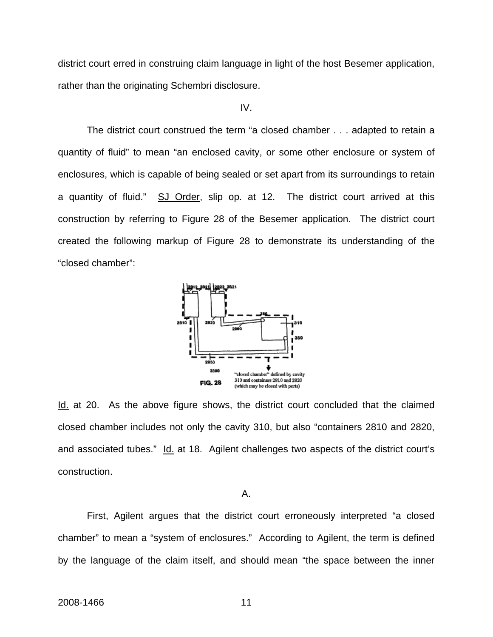district court erred in construing claim language in light of the host Besemer application, rather than the originating Schembri disclosure.

IV.

 The district court construed the term "a closed chamber . . . adapted to retain a quantity of fluid" to mean "an enclosed cavity, or some other enclosure or system of enclosures, which is capable of being sealed or set apart from its surroundings to retain a quantity of fluid." SJ Order, slip op. at 12. The district court arrived at this construction by referring to Figure 28 of the Besemer application. The district court created the following markup of Figure 28 to demonstrate its understanding of the "closed chamber":



Id. at 20. As the above figure shows, the district court concluded that the claimed closed chamber includes not only the cavity 310, but also "containers 2810 and 2820, and associated tubes." Id. at 18. Agilent challenges two aspects of the district court's construction.

#### A.

First, Agilent argues that the district court erroneously interpreted "a closed chamber" to mean a "system of enclosures." According to Agilent, the term is defined by the language of the claim itself, and should mean "the space between the inner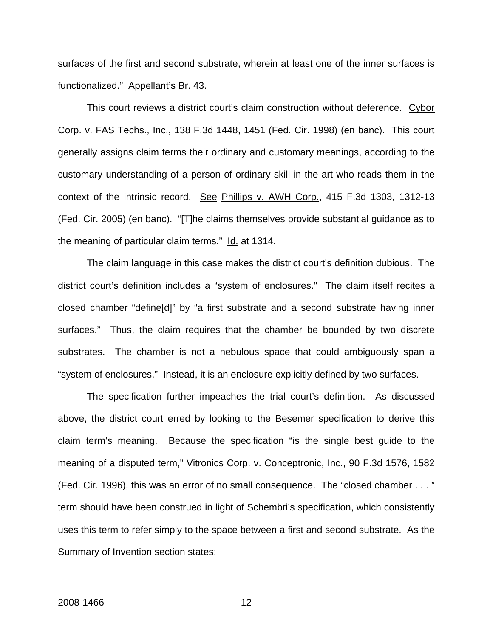surfaces of the first and second substrate, wherein at least one of the inner surfaces is functionalized." Appellant's Br. 43.

This court reviews a district court's claim construction without deference. Cybor Corp. v. FAS Techs., Inc., 138 F.3d 1448, 1451 (Fed. Cir. 1998) (en banc). This court generally assigns claim terms their ordinary and customary meanings, according to the customary understanding of a person of ordinary skill in the art who reads them in the context of the intrinsic record. See Phillips v. AWH Corp., 415 F.3d 1303, 1312-13 (Fed. Cir. 2005) (en banc). "[T]he claims themselves provide substantial guidance as to the meaning of particular claim terms." Id. at 1314.

The claim language in this case makes the district court's definition dubious. The district court's definition includes a "system of enclosures." The claim itself recites a closed chamber "define[d]" by "a first substrate and a second substrate having inner surfaces." Thus, the claim requires that the chamber be bounded by two discrete substrates. The chamber is not a nebulous space that could ambiguously span a "system of enclosures." Instead, it is an enclosure explicitly defined by two surfaces.

The specification further impeaches the trial court's definition. As discussed above, the district court erred by looking to the Besemer specification to derive this claim term's meaning. Because the specification "is the single best guide to the meaning of a disputed term," Vitronics Corp. v. Conceptronic, Inc., 90 F.3d 1576, 1582 (Fed. Cir. 1996), this was an error of no small consequence. The "closed chamber . . . " term should have been construed in light of Schembri's specification, which consistently uses this term to refer simply to the space between a first and second substrate. As the Summary of Invention section states: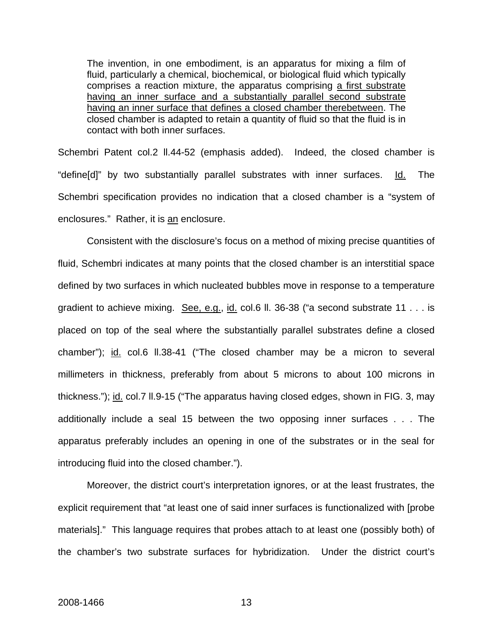The invention, in one embodiment, is an apparatus for mixing a film of fluid, particularly a chemical, biochemical, or biological fluid which typically comprises a reaction mixture, the apparatus comprising a first substrate having an inner surface and a substantially parallel second substrate having an inner surface that defines a closed chamber therebetween. The closed chamber is adapted to retain a quantity of fluid so that the fluid is in contact with both inner surfaces.

Schembri Patent col.2 ll.44-52 (emphasis added). Indeed, the closed chamber is "define[d]" by two substantially parallel substrates with inner surfaces. Id. The Schembri specification provides no indication that a closed chamber is a "system of enclosures." Rather, it is an enclosure.

Consistent with the disclosure's focus on a method of mixing precise quantities of fluid, Schembri indicates at many points that the closed chamber is an interstitial space defined by two surfaces in which nucleated bubbles move in response to a temperature gradient to achieve mixing. See, e.g., id. col.6 ll. 36-38 ("a second substrate 11 . . . is placed on top of the seal where the substantially parallel substrates define a closed chamber"); id. col.6 ll.38-41 ("The closed chamber may be a micron to several millimeters in thickness, preferably from about 5 microns to about 100 microns in thickness."); id. col.7 ll.9-15 ("The apparatus having closed edges, shown in FIG. 3, may additionally include a seal 15 between the two opposing inner surfaces . . . The apparatus preferably includes an opening in one of the substrates or in the seal for introducing fluid into the closed chamber.").

Moreover, the district court's interpretation ignores, or at the least frustrates, the explicit requirement that "at least one of said inner surfaces is functionalized with [probe materials]." This language requires that probes attach to at least one (possibly both) of the chamber's two substrate surfaces for hybridization. Under the district court's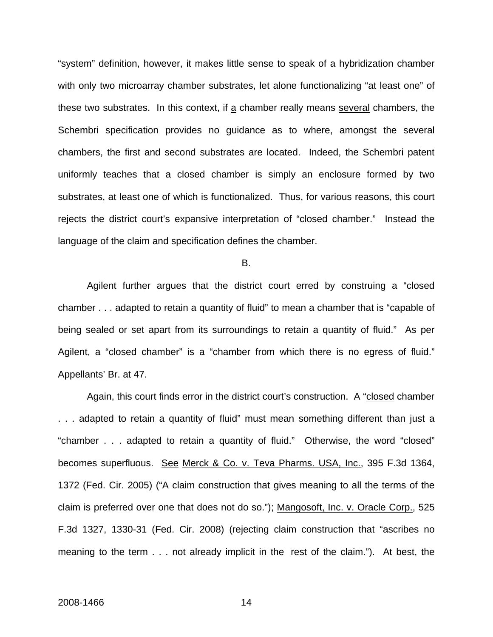"system" definition, however, it makes little sense to speak of a hybridization chamber with only two microarray chamber substrates, let alone functionalizing "at least one" of these two substrates. In this context, if a chamber really means several chambers, the Schembri specification provides no guidance as to where, amongst the several chambers, the first and second substrates are located. Indeed, the Schembri patent uniformly teaches that a closed chamber is simply an enclosure formed by two substrates, at least one of which is functionalized. Thus, for various reasons, this court rejects the district court's expansive interpretation of "closed chamber." Instead the language of the claim and specification defines the chamber.

B.

Agilent further argues that the district court erred by construing a "closed chamber . . . adapted to retain a quantity of fluid" to mean a chamber that is "capable of being sealed or set apart from its surroundings to retain a quantity of fluid." As per Agilent, a "closed chamber" is a "chamber from which there is no egress of fluid." Appellants' Br. at 47.

Again, this court finds error in the district court's construction. A "closed chamber . . . adapted to retain a quantity of fluid" must mean something different than just a "chamber . . . adapted to retain a quantity of fluid." Otherwise, the word "closed" becomes superfluous. See Merck & Co. v. Teva Pharms. USA, Inc., 395 F.3d 1364, 1372 (Fed. Cir. 2005) ("A claim construction that gives meaning to all the terms of the claim is preferred over one that does not do so."); Mangosoft, Inc. v. Oracle Corp., 525 F.3d 1327, 1330-31 (Fed. Cir. 2008) (rejecting claim construction that "ascribes no meaning to the term . . . not already implicit in the rest of the claim."). At best, the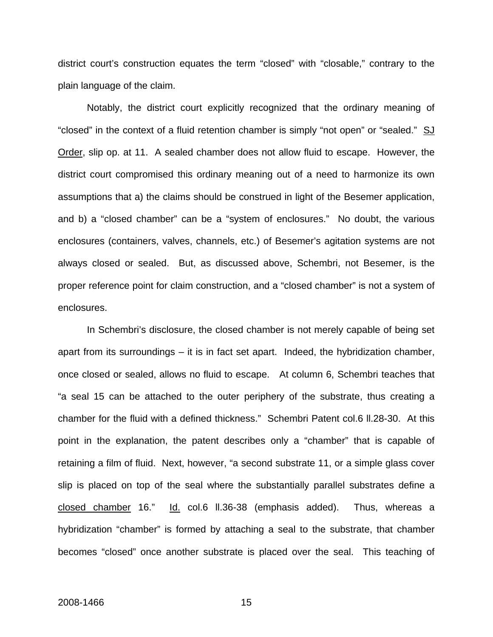district court's construction equates the term "closed" with "closable," contrary to the plain language of the claim.

Notably, the district court explicitly recognized that the ordinary meaning of "closed" in the context of a fluid retention chamber is simply "not open" or "sealed." SJ Order, slip op. at 11. A sealed chamber does not allow fluid to escape. However, the district court compromised this ordinary meaning out of a need to harmonize its own assumptions that a) the claims should be construed in light of the Besemer application, and b) a "closed chamber" can be a "system of enclosures." No doubt, the various enclosures (containers, valves, channels, etc.) of Besemer's agitation systems are not always closed or sealed. But, as discussed above, Schembri, not Besemer, is the proper reference point for claim construction, and a "closed chamber" is not a system of enclosures.

In Schembri's disclosure, the closed chamber is not merely capable of being set apart from its surroundings – it is in fact set apart. Indeed, the hybridization chamber, once closed or sealed, allows no fluid to escape. At column 6, Schembri teaches that "a seal 15 can be attached to the outer periphery of the substrate, thus creating a chamber for the fluid with a defined thickness." Schembri Patent col.6 ll.28-30. At this point in the explanation, the patent describes only a "chamber" that is capable of retaining a film of fluid. Next, however, "a second substrate 11, or a simple glass cover slip is placed on top of the seal where the substantially parallel substrates define a closed chamber 16." Id. col.6 ll.36-38 (emphasis added). Thus, whereas a hybridization "chamber" is formed by attaching a seal to the substrate, that chamber becomes "closed" once another substrate is placed over the seal. This teaching of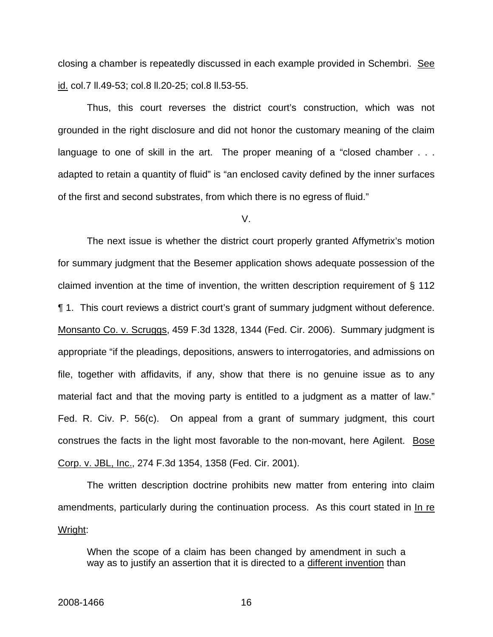closing a chamber is repeatedly discussed in each example provided in Schembri. See id. col.7 ll.49-53; col.8 ll.20-25; col.8 ll.53-55.

Thus, this court reverses the district court's construction, which was not grounded in the right disclosure and did not honor the customary meaning of the claim language to one of skill in the art. The proper meaning of a "closed chamber . . . adapted to retain a quantity of fluid" is "an enclosed cavity defined by the inner surfaces of the first and second substrates, from which there is no egress of fluid."

V.

 The next issue is whether the district court properly granted Affymetrix's motion for summary judgment that the Besemer application shows adequate possession of the claimed invention at the time of invention, the written description requirement of § 112 ¶ 1. This court reviews a district court's grant of summary judgment without deference. Monsanto Co. v. Scruggs, 459 F.3d 1328, 1344 (Fed. Cir. 2006). Summary judgment is appropriate "if the pleadings, depositions, answers to interrogatories, and admissions on file, together with affidavits, if any, show that there is no genuine issue as to any material fact and that the moving party is entitled to a judgment as a matter of law." Fed. R. Civ. P. 56(c). On appeal from a grant of summary judgment, this court construes the facts in the light most favorable to the non-movant, here Agilent. Bose Corp. v. JBL, Inc., 274 F.3d 1354, 1358 (Fed. Cir. 2001).

The written description doctrine prohibits new matter from entering into claim amendments, particularly during the continuation process. As this court stated in In re Wright:

When the scope of a claim has been changed by amendment in such a way as to justify an assertion that it is directed to a different invention than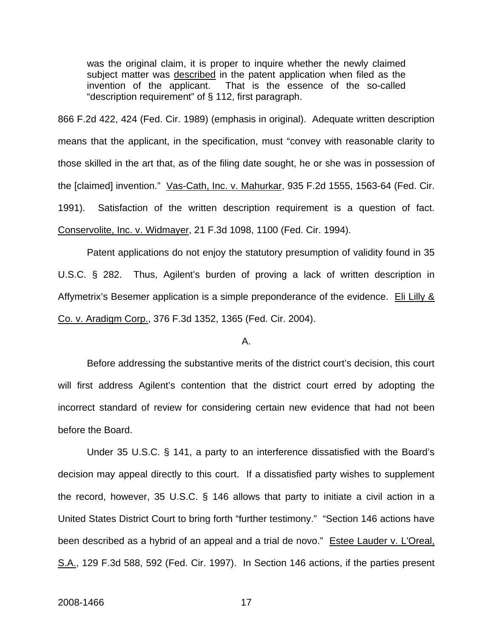was the original claim, it is proper to inquire whether the newly claimed subject matter was described in the patent application when filed as the invention of the applicant. That is the essence of the so-called "description requirement" of § 112, first paragraph.

866 F.2d 422, 424 (Fed. Cir. 1989) (emphasis in original). Adequate written description means that the applicant, in the specification, must "convey with reasonable clarity to those skilled in the art that, as of the filing date sought, he or she was in possession of the [claimed] invention." Vas-Cath, Inc. v. Mahurkar, 935 F.2d 1555, 1563-64 (Fed. Cir. 1991). Satisfaction of the written description requirement is a question of fact. Conservolite, Inc. v. Widmayer, 21 F.3d 1098, 1100 (Fed. Cir. 1994).

 Patent applications do not enjoy the statutory presumption of validity found in 35 U.S.C. § 282. Thus, Agilent's burden of proving a lack of written description in Affymetrix's Besemer application is a simple preponderance of the evidence. Eli Lilly & Co. v. Aradigm Corp., 376 F.3d 1352, 1365 (Fed. Cir. 2004).

#### A.

 Before addressing the substantive merits of the district court's decision, this court will first address Agilent's contention that the district court erred by adopting the incorrect standard of review for considering certain new evidence that had not been before the Board.

Under 35 U.S.C. § 141, a party to an interference dissatisfied with the Board's decision may appeal directly to this court. If a dissatisfied party wishes to supplement the record, however, 35 U.S.C. § 146 allows that party to initiate a civil action in a United States District Court to bring forth "further testimony." "Section 146 actions have been described as a hybrid of an appeal and a trial de novo." Estee Lauder v. L'Oreal, S.A., 129 F.3d 588, 592 (Fed. Cir. 1997). In Section 146 actions, if the parties present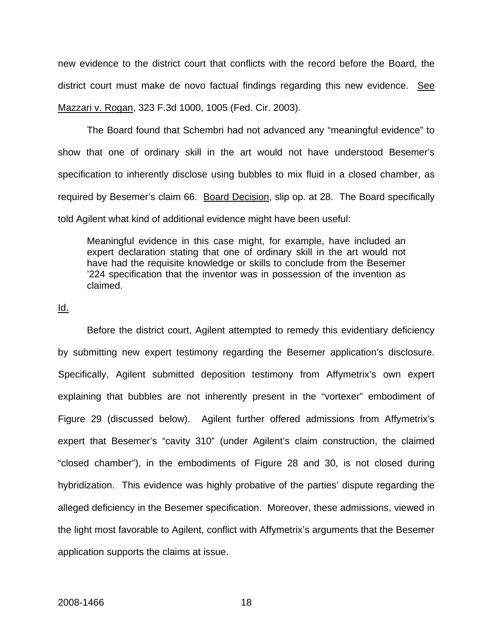new evidence to the district court that conflicts with the record before the Board, the district court must make de novo factual findings regarding this new evidence. See Mazzari v. Rogan, 323 F.3d 1000, 1005 (Fed. Cir. 2003).

The Board found that Schembri had not advanced any "meaningful evidence" to show that one of ordinary skill in the art would not have understood Besemer's specification to inherently disclose using bubbles to mix fluid in a closed chamber, as required by Besemer's claim 66. Board Decision, slip op. at 28. The Board specifically told Agilent what kind of additional evidence might have been useful:

Meaningful evidence in this case might, for example, have included an expert declaration stating that one of ordinary skill in the art would not have had the requisite knowledge or skills to conclude from the Besemer '224 specification that the inventor was in possession of the invention as claimed.

#### Id.

 Before the district court, Agilent attempted to remedy this evidentiary deficiency by submitting new expert testimony regarding the Besemer application's disclosure. Specifically, Agilent submitted deposition testimony from Affymetrix's own expert explaining that bubbles are not inherently present in the "vortexer" embodiment of Figure 29 (discussed below). Agilent further offered admissions from Affymetrix's expert that Besemer's "cavity 310" (under Agilent's claim construction, the claimed "closed chamber"), in the embodiments of Figure 28 and 30, is not closed during hybridization. This evidence was highly probative of the parties' dispute regarding the alleged deficiency in the Besemer specification. Moreover, these admissions, viewed in the light most favorable to Agilent, conflict with Affymetrix's arguments that the Besemer application supports the claims at issue.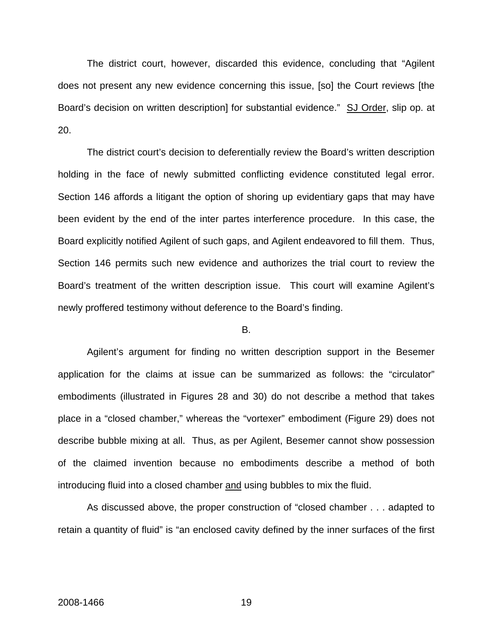The district court, however, discarded this evidence, concluding that "Agilent does not present any new evidence concerning this issue, [so] the Court reviews [the Board's decision on written description] for substantial evidence." SJ Order, slip op. at 20.

The district court's decision to deferentially review the Board's written description holding in the face of newly submitted conflicting evidence constituted legal error. Section 146 affords a litigant the option of shoring up evidentiary gaps that may have been evident by the end of the inter partes interference procedure. In this case, the Board explicitly notified Agilent of such gaps, and Agilent endeavored to fill them. Thus, Section 146 permits such new evidence and authorizes the trial court to review the Board's treatment of the written description issue. This court will examine Agilent's newly proffered testimony without deference to the Board's finding.

#### B.

 Agilent's argument for finding no written description support in the Besemer application for the claims at issue can be summarized as follows: the "circulator" embodiments (illustrated in Figures 28 and 30) do not describe a method that takes place in a "closed chamber," whereas the "vortexer" embodiment (Figure 29) does not describe bubble mixing at all. Thus, as per Agilent, Besemer cannot show possession of the claimed invention because no embodiments describe a method of both introducing fluid into a closed chamber and using bubbles to mix the fluid.

As discussed above, the proper construction of "closed chamber . . . adapted to retain a quantity of fluid" is "an enclosed cavity defined by the inner surfaces of the first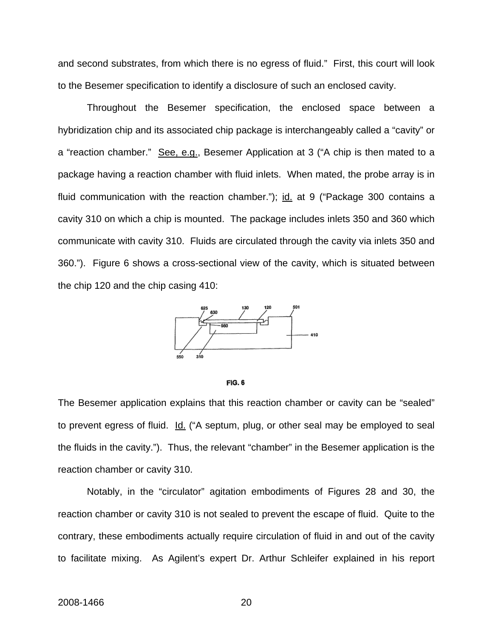and second substrates, from which there is no egress of fluid." First, this court will look to the Besemer specification to identify a disclosure of such an enclosed cavity.

Throughout the Besemer specification, the enclosed space between a hybridization chip and its associated chip package is interchangeably called a "cavity" or a "reaction chamber." See, e.g., Besemer Application at 3 ("A chip is then mated to a package having a reaction chamber with fluid inlets. When mated, the probe array is in fluid communication with the reaction chamber."); id. at 9 ("Package 300 contains a cavity 310 on which a chip is mounted. The package includes inlets 350 and 360 which communicate with cavity 310. Fluids are circulated through the cavity via inlets 350 and 360."). Figure 6 shows a cross-sectional view of the cavity, which is situated between the chip 120 and the chip casing 410:





The Besemer application explains that this reaction chamber or cavity can be "sealed" to prevent egress of fluid. Id. ("A septum, plug, or other seal may be employed to seal the fluids in the cavity."). Thus, the relevant "chamber" in the Besemer application is the reaction chamber or cavity 310.

 Notably, in the "circulator" agitation embodiments of Figures 28 and 30, the reaction chamber or cavity 310 is not sealed to prevent the escape of fluid. Quite to the contrary, these embodiments actually require circulation of fluid in and out of the cavity to facilitate mixing. As Agilent's expert Dr. Arthur Schleifer explained in his report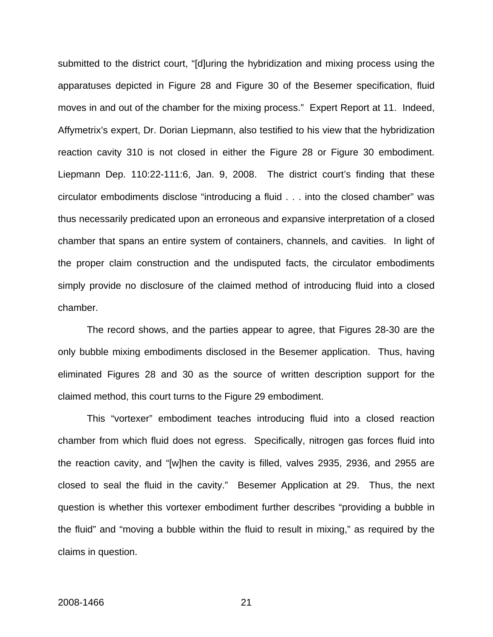submitted to the district court, "[d]uring the hybridization and mixing process using the apparatuses depicted in Figure 28 and Figure 30 of the Besemer specification, fluid moves in and out of the chamber for the mixing process." Expert Report at 11. Indeed, Affymetrix's expert, Dr. Dorian Liepmann, also testified to his view that the hybridization reaction cavity 310 is not closed in either the Figure 28 or Figure 30 embodiment. Liepmann Dep. 110:22-111:6, Jan. 9, 2008. The district court's finding that these circulator embodiments disclose "introducing a fluid . . . into the closed chamber" was thus necessarily predicated upon an erroneous and expansive interpretation of a closed chamber that spans an entire system of containers, channels, and cavities. In light of the proper claim construction and the undisputed facts, the circulator embodiments simply provide no disclosure of the claimed method of introducing fluid into a closed chamber.

The record shows, and the parties appear to agree, that Figures 28-30 are the only bubble mixing embodiments disclosed in the Besemer application. Thus, having eliminated Figures 28 and 30 as the source of written description support for the claimed method, this court turns to the Figure 29 embodiment.

This "vortexer" embodiment teaches introducing fluid into a closed reaction chamber from which fluid does not egress. Specifically, nitrogen gas forces fluid into the reaction cavity, and "[w]hen the cavity is filled, valves 2935, 2936, and 2955 are closed to seal the fluid in the cavity." Besemer Application at 29. Thus, the next question is whether this vortexer embodiment further describes "providing a bubble in the fluid" and "moving a bubble within the fluid to result in mixing," as required by the claims in question.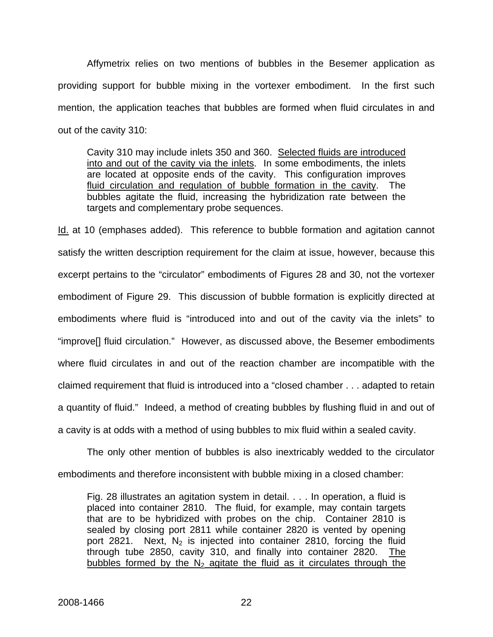Affymetrix relies on two mentions of bubbles in the Besemer application as providing support for bubble mixing in the vortexer embodiment. In the first such mention, the application teaches that bubbles are formed when fluid circulates in and out of the cavity 310:

Cavity 310 may include inlets 350 and 360. Selected fluids are introduced into and out of the cavity via the inlets. In some embodiments, the inlets are located at opposite ends of the cavity. This configuration improves fluid circulation and regulation of bubble formation in the cavity. The bubbles agitate the fluid, increasing the hybridization rate between the targets and complementary probe sequences.

Id. at 10 (emphases added). This reference to bubble formation and agitation cannot satisfy the written description requirement for the claim at issue, however, because this excerpt pertains to the "circulator" embodiments of Figures 28 and 30, not the vortexer embodiment of Figure 29. This discussion of bubble formation is explicitly directed at embodiments where fluid is "introduced into and out of the cavity via the inlets" to "improve[] fluid circulation." However, as discussed above, the Besemer embodiments where fluid circulates in and out of the reaction chamber are incompatible with the claimed requirement that fluid is introduced into a "closed chamber . . . adapted to retain a quantity of fluid." Indeed, a method of creating bubbles by flushing fluid in and out of a cavity is at odds with a method of using bubbles to mix fluid within a sealed cavity.

 The only other mention of bubbles is also inextricably wedded to the circulator embodiments and therefore inconsistent with bubble mixing in a closed chamber:

Fig. 28 illustrates an agitation system in detail. . . . In operation, a fluid is placed into container 2810. The fluid, for example, may contain targets that are to be hybridized with probes on the chip. Container 2810 is sealed by closing port 2811 while container 2820 is vented by opening port 2821. Next,  $N_2$  is injected into container 2810, forcing the fluid through tube 2850, cavity 310, and finally into container 2820. The bubbles formed by the  $N_2$  agitate the fluid as it circulates through the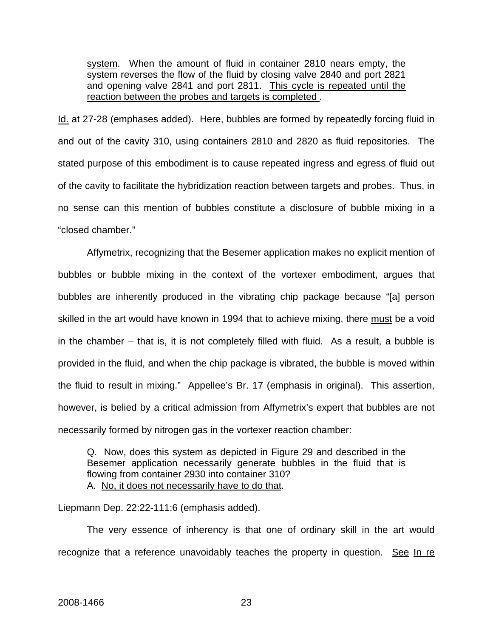system. When the amount of fluid in container 2810 nears empty, the system reverses the flow of the fluid by closing valve 2840 and port 2821 and opening valve 2841 and port 2811. This cycle is repeated until the reaction between the probes and targets is completed .

Id. at 27-28 (emphases added). Here, bubbles are formed by repeatedly forcing fluid in and out of the cavity 310, using containers 2810 and 2820 as fluid repositories. The stated purpose of this embodiment is to cause repeated ingress and egress of fluid out of the cavity to facilitate the hybridization reaction between targets and probes. Thus, in no sense can this mention of bubbles constitute a disclosure of bubble mixing in a "closed chamber."

 Affymetrix, recognizing that the Besemer application makes no explicit mention of bubbles or bubble mixing in the context of the vortexer embodiment, argues that bubbles are inherently produced in the vibrating chip package because "[a] person skilled in the art would have known in 1994 that to achieve mixing, there must be a void in the chamber – that is, it is not completely filled with fluid. As a result, a bubble is provided in the fluid, and when the chip package is vibrated, the bubble is moved within the fluid to result in mixing." Appellee's Br. 17 (emphasis in original). This assertion, however, is belied by a critical admission from Affymetrix's expert that bubbles are not necessarily formed by nitrogen gas in the vortexer reaction chamber:

Q. Now, does this system as depicted in Figure 29 and described in the Besemer application necessarily generate bubbles in the fluid that is flowing from container 2930 into container 310? A. No, it does not necessarily have to do that.

Liepmann Dep. 22:22-111:6 (emphasis added).

The very essence of inherency is that one of ordinary skill in the art would recognize that a reference unavoidably teaches the property in question. See In re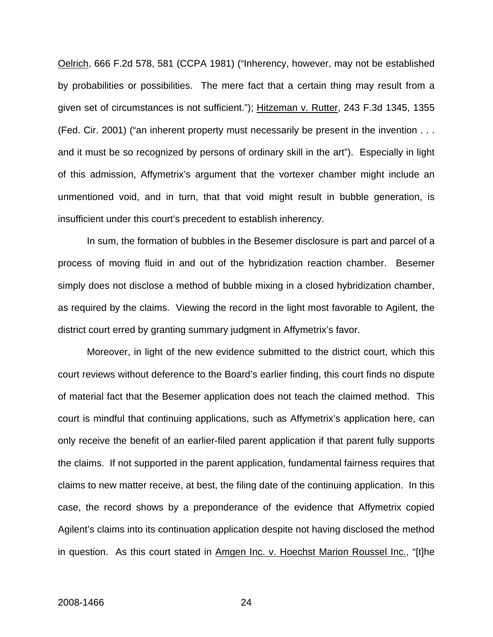Oelrich, 666 F.2d 578, 581 (CCPA 1981) ("Inherency, however, may not be established by probabilities or possibilities. The mere fact that a certain thing may result from a given set of circumstances is not sufficient."); Hitzeman v. Rutter, 243 F.3d 1345, 1355 (Fed. Cir. 2001) ("an inherent property must necessarily be present in the invention . . . and it must be so recognized by persons of ordinary skill in the art"). Especially in light of this admission, Affymetrix's argument that the vortexer chamber might include an unmentioned void, and in turn, that that void might result in bubble generation, is insufficient under this court's precedent to establish inherency.

 In sum, the formation of bubbles in the Besemer disclosure is part and parcel of a process of moving fluid in and out of the hybridization reaction chamber. Besemer simply does not disclose a method of bubble mixing in a closed hybridization chamber, as required by the claims. Viewing the record in the light most favorable to Agilent, the district court erred by granting summary judgment in Affymetrix's favor.

Moreover, in light of the new evidence submitted to the district court, which this court reviews without deference to the Board's earlier finding, this court finds no dispute of material fact that the Besemer application does not teach the claimed method. This court is mindful that continuing applications, such as Affymetrix's application here, can only receive the benefit of an earlier-filed parent application if that parent fully supports the claims. If not supported in the parent application, fundamental fairness requires that claims to new matter receive, at best, the filing date of the continuing application. In this case, the record shows by a preponderance of the evidence that Affymetrix copied Agilent's claims into its continuation application despite not having disclosed the method in question. As this court stated in Amgen Inc. v. Hoechst Marion Roussel Inc., "[t]he